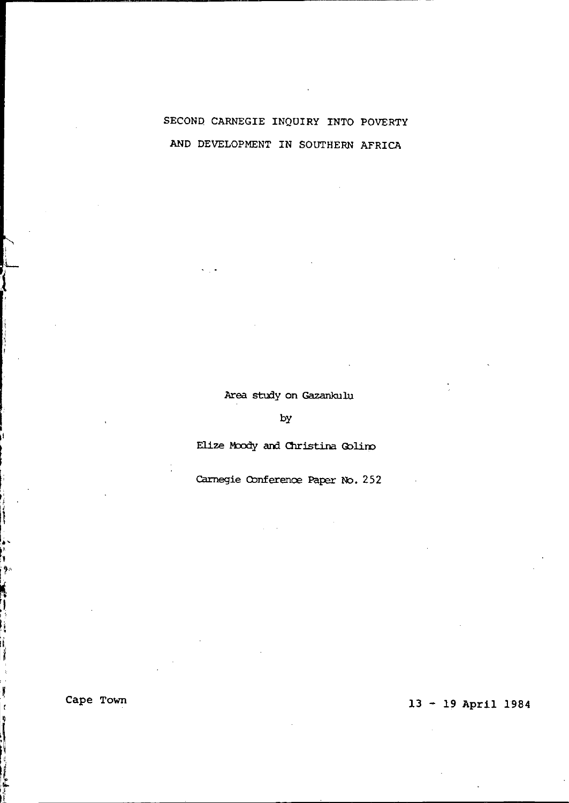# SECOND CARNEGIE INQUIRY INTO POVERTY AND DEVELOPMENT IN SOUTHERN AFRICA

Area study on Gazankulu

by

Elize Moody and Christina Golino

Carnegie Conference Paper No. 252

L  $\left\{ \begin{array}{c} 1 \end{array} \right.$ 

,<br>| Ba

ï

i

# Cape Town 13 - 19 April 1984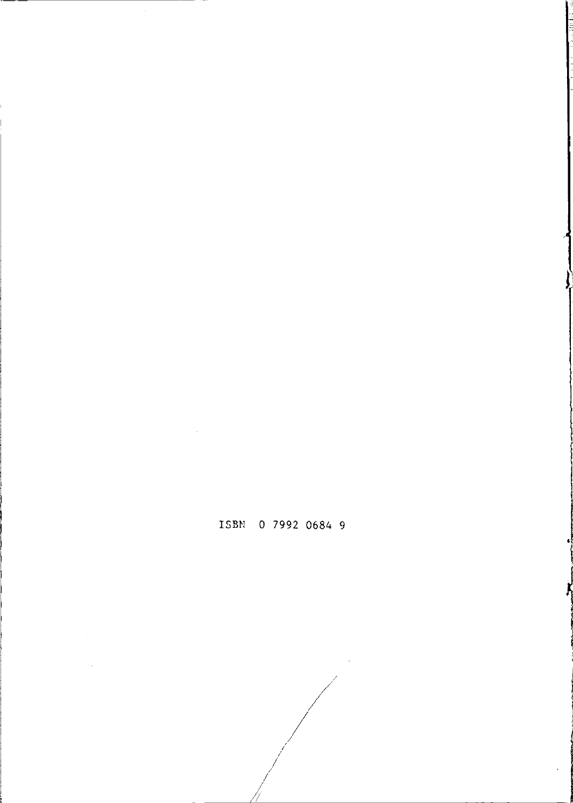1<br>1

11 - 2003 - 2004 - 2005 - 2005<br>11 - 2005 - 2005 - 2005 - 2005 - 2005 - 2005 - 2005 - 2005 - 2005 - 2006 - 2005 - 2006 - 2006 - 2006 - 2006 -

# ISBN 0 7992 0684 9

/ ]<br>|}

/ I / I

 $\sqrt{2\pi}$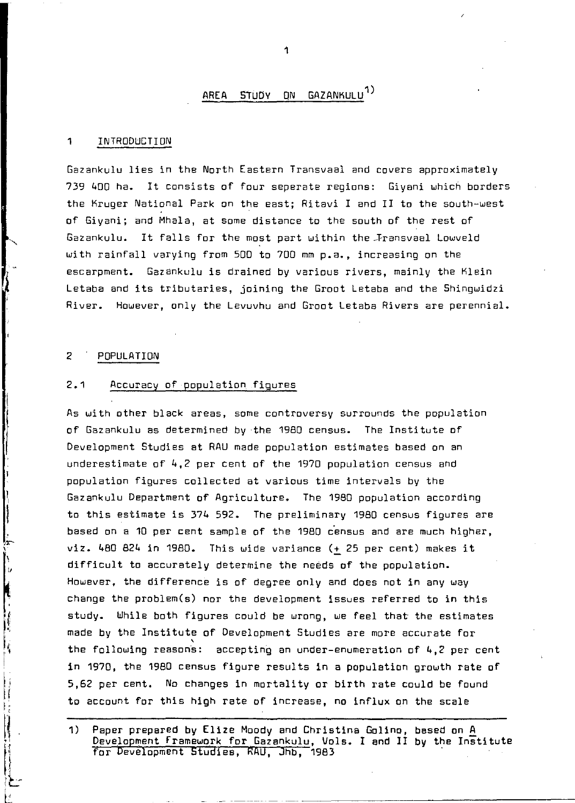# AREA STUDY ON GAZANKULU<sup>1)</sup>

#### 1 INTRoDUCTI ON

Gazankulu lies in the North Eastern Transvaal and covers approximately 739 400 ha. It consists of four seperate regions: Giyani which borders the Kruger National Park on the east; Ritavi I and II to the south-west of Giyani; and Mhala, at some distance to the south of the rest of Gazankulu. It falls for the most part within the Fransvaal Lowveld with rainfall varying from 500 to 700 mm p.a., increasing on the escarpment. Gazankulu is drained by various rivers, mainly the Klein Letaba and its tributaries, joining the Groot Letaba and the Shingwidzi River. However, only the Levuvhu and Groot Letaba Rivers are perennial.

#### 2 POPULATION

 $\frac{1}{2}$ 

l. Ŋ i v k

ķ

Ħ

### 2.1 Accuracy of population figures

As with other black areas, some controversy surrounds the population of Gazankulu as determined by the 1980 census. The Institute of Development Studies at RAU made population estimates based on an underestimate of 4,2 per cent of the 1970 population census and population figures collected at various time intervals by the Gazankulu Department of Agriculture. The 1980 population according to this estimate is 374 592. The preliminary 1980 census figures are based on a 10 per cent sample of the 1980 census and are much higher,  $vis.$  480 824 in 1980. This wide variance  $(+25$  per cent) makes it difficult to accurately determine the needs of the population. However, the difference is of degree only and does not in any way change the problem(s) nor the development issues referred to in this study. While both figures could be wrong, we feel that the estimates made by the Institute of Development Studies are more accurate for<br>the following reasons: accepting an under-enumeration of 4,2 per cent in 1970, the 1980 census figure results in a population growth rate of 5,62 per cent. No changes in mortality or birth rate could be found to account for this high rate of increase, no influx on the scale

<sup>1)</sup> Paper prepared by Elize Moody and Christina Golino, based on A Development framework for Gazenkulu, Vols. I and II by the Institute<br>for Development Studies, RAU, Jhb, 1983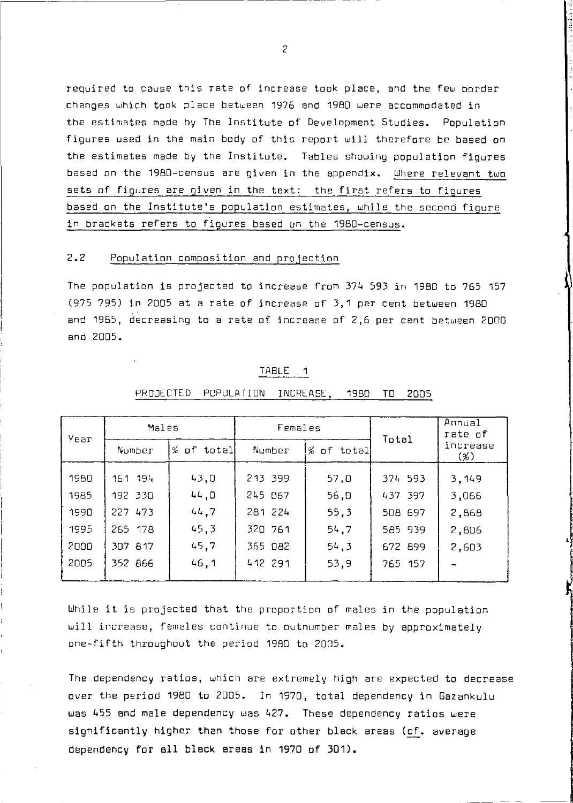required to cause this rate of increase took place, and the few border changes which took place between 1975 and 1980 were accommodated in the estimates made by The Institute of Development Studies. Population figures used in the main body of this report will therefore be based on the estimates made by the Institute. Tables showing population figures based on the 1980-census are given in the appendix. Where relevant two sets of figures are given in the text: the first refers to figures based on the Institute's population estimates, while the second figure in brackets refers to figures based on the 1980-census.

### 2.2 Population composition and projection

~-------------------- ---- ~--~-

The population is projected to increase from 374 593 in 1980 to 755 157 (975 795) in 2005 at a rate of increase of 3,1 per cent between 1980 and 1985, decreasing to a rate of increase of 2,5 per cent between 2000 and 2005.

| Year | Males   |                        | Females |            | Total   | Annual<br>rate of  |
|------|---------|------------------------|---------|------------|---------|--------------------|
|      | Number  | $%$ of total<br>Number |         | % of total |         | increase<br>$(\%)$ |
| 1980 | 161 194 | 43.0                   | 213 399 | 57,0       | 374 593 | 3,149              |
| 1985 | 192 330 | 44.0                   | 245 067 | 56,0       | 437 397 | 3,066              |
| 1990 | 227 473 | 44.7                   | 281 224 | 55,3       | 508 697 | 2,868              |
| 1995 | 265 178 | 45.3                   | 320 761 | 54.7       | 585 939 | 2,806              |
| 2000 | 307 817 | 45.7                   | 365 082 | 54.3       | 672 899 | 2,603              |
| 2005 | 352 866 | 46.1                   | 412 291 | 53.9       | 765 157 |                    |

l.

#### TABLE 1

### PROJECTED POPULATION INCREASE, 1980 TO 2005

While it is projected that the proportion of males in the population will increase, females continue to outnumber males by approximately one-fifth throughout the period 1980 to 2005.

The dependency ratios, which are extremely high are expected to decrease over the period 1980 to 2005. In 1970, total dependency in Gazankulu was 455 and male dependency was 427. These dependency ratios were significantly higher than those for other black areas (cf. average dependency for ell black areas in 1970 of 301).

 $\overline{2}$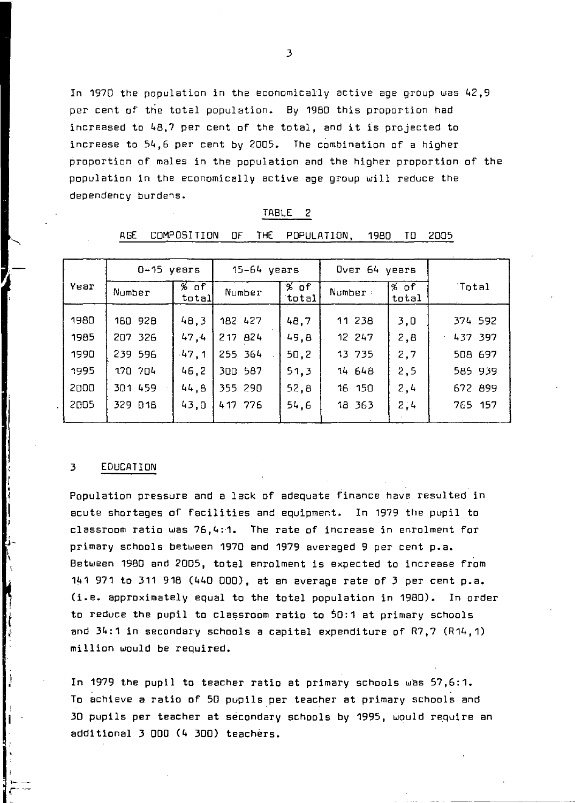In 1970 the population in the economically active age group was 42,9 per cent of the total population. By 1980 this proportion had increased to 48,7 per cent of the total, and it is projected to increase to 54,6 per cent by 2005. The combination of a higher proportion of males in the population and the higher proportion of the population in the economically active age group will reduce the dependency burdens.

|      | ---          | ----------      | . .<br>.    | .               | ,,,,,         | . .            | ---     |
|------|--------------|-----------------|-------------|-----------------|---------------|----------------|---------|
|      | $0-15$ years |                 | 15-64 years |                 | Over 64 years |                |         |
| Year | Number       | $%$ of<br>total | Number      | $%$ of<br>total | Number:       | ∣% of<br>total | Total   |
| 1980 | 180 928      | 48,3            | 182 427     | 48.7            | 11 238        | 3,0            | 374 592 |
| 1985 | 207 326      | 47,4            | 217 824     | 49.8            | 12 247        | 2,8            | 437 397 |
| 1990 | 239 596      | $-47,1$         | 255 364     | 50, 2           | 13 735        | 2,7            | 508 697 |
| 1995 | 170 704      | 46.2            | 300 587     | 51.3            | 14 648        | 2,5            | 585 939 |
| 2000 | 301 459      | 44.8            | 355 290     | 52,8            | 16 150        | 2,4            | 672 899 |
| 2005 | 329 D18      | 43,0            | 417 776     | 54.6            | 18 363        | 2:4            | 765 157 |

#### TABLE 2

AGE COMPOSITION OF THE POPULATION, 1980 TO 2005

#### 3 EDUCATION

١,

I

Population pressure and a lack of adequate finance have resulted in acute shortages of facilities and equipment. In 1979 the pupil to classroom ratio was 76,4:1. The rate of increase in enrolment for primary schools between 1970 and 1979 averaged 9 per cent p.a. Between 1980 and 2005, total enrolment is expected to increase from 141 971 to 311 918 (440 ODD), at an average rate of 3 per cent p.a. (i.e. approximately equal to the total population in 1980). In order to reduce the pupil to classroom ratio to 50:1 at primary schools and 34:1 in secondary schools a capital expenditure of R7,7 (R14,1) million would be required.

In 1979 the pupil to teacher ratio at primary schools was 57,6:1. To achieve a ratio of 50 pupils per teacher at primary SChools and 3D pupils per teacher at secondary SChools by 1995, would require an additional 3 DOD (4 300) teachers.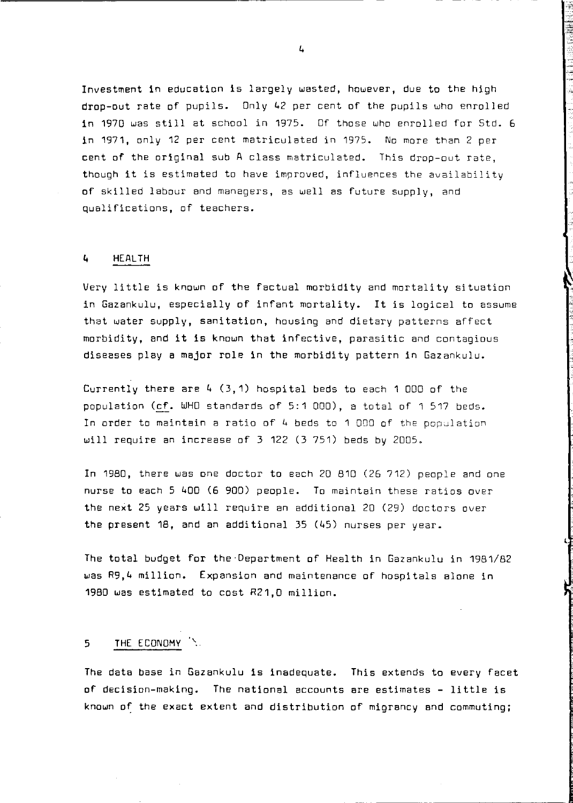Investment in education is largely wasted, however, due to the high drop-out rate of pupils. Only 42 per cent of the pupils who enrolled in 1970 was still at school in 1975. Of those who enrolled for Std. 6 in 1971, only 12 per cent matriculated in 1975. No more than 2 per cent of the original sub A class matriculated. This drop-out rate, though it is estimated to have improved, influences the availability of skilled labour and managers, as well as future supply, and qualifications, of teachers.

### 4 HEALTH

Very little is known of the factual morbidity and mortality situation in Gazankulu, especially of infant mortality. It is logical to assume that water supply, sanitation, housing and dietary patterns affect morbidity, and it is known that infective, parasitic and contagious diseases playa major role in the morbidity pattern in Gazankulu.

Currently there are  $4(3,1)$  hospital beds to each 1 000 of the population (cf. WHO standards of 5:1 DOD), a total of 1 517 beds. In order to maintain a ratio of  $4$  beds to 1 000 of the population will require an increase of 3 122 (3 751) beds by 2005.

In 1980, there was one doctor to each 20 810 (26 712) people and one nurse to each 5 400 (6 900) people. To maintain these ratios over the next 25 years will require an additional 20 (29) doctors over the present 18, and an additional 35 (45) nurses per year.

The total budget for the'Department of Health in Gazankulu in 1981/82 was R9,4 million. Expansion and maintenance of hospitals alone in 1980 was estimated to cost R21,D million.

L

### 5 THE ECONOMY"

The data base in Gazankulu is inadequate. This extends to every facet of decision-making. The national accounts are estimates - little is known of the exact extent and distribution of migrancy and commuting;

4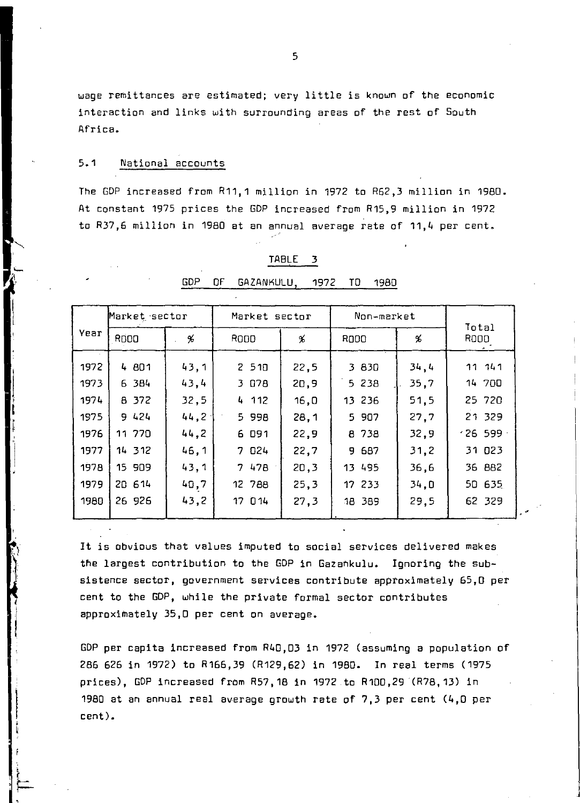wage remittances are estimated; very little is known of the economic interaction and links with surrounding areas of the rest of South Africa.

### 5.1 National accounts

The GDP increased from R11,1 million in 1972 to R52,3 million in 1980. At constant 1975 prices the GDP increased from R15,9 million in 1972 to R37,5 million in 1980 at an annual average rate of 11,4 per cent.

|      | Market sector |       | Market sector |      | Non-market |      | Total   |  |
|------|---------------|-------|---------------|------|------------|------|---------|--|
| Year | <b>RDOO</b>   | %     | ROOD          | %    | R000       | %    | ROOD    |  |
| 1972 | 4 801         | 43,1  | 2510          | 22.5 | 3 830      | 34.4 | 11111   |  |
| 1973 | 6 384         | 43.4  | 3 O78         | 20,9 | 5 238      | 35,7 | 14 700  |  |
| 1974 | 8 372         | 32,5  | 4 112         | 16,0 | 13 236     | 51.5 | 25 720  |  |
| 1975 | 9 424         | 44.2  | 5 998         | 28.1 | 5 907      | 27.7 | 21 329  |  |
| 1976 | 11 770        | 44, 2 | 6 091         | 22,9 | 8 738      | 32.9 | .26599. |  |
| 1977 | 14 312        | 46,1  | 7 824         | 22,7 | 9 687      | 31,2 | 31 023  |  |
| 1978 | 15 909        | 43,1  | 7 47B         | 20,3 | 13 495     | 36.6 | 36 882  |  |
| 1979 | 20 614        | 40,7  | 12 788        | 25.3 | 17 233     | 34,0 | 50 635  |  |
| 1980 | 26 926        | 43,2  | 17 014        | 27,3 | 18 389     | 29.5 | 62 329  |  |

#### TABLE 3

GDP OF GAZANKULU, 1972 TO 1980

It is obvious that values imputed to social services delivered makes the largest contribution to the GDP in Gazankulu. Ignoring the subsistence sector, government services contribute approximately 65,0 per cent to the GOP, while the private formal sector contributes approximately 35,0 per cent on average.

GDP per capita increased from R40,03 in 1972 (assuming a population of 286 626 in 1972) to R166,39 (R129,62) in 1980. In real terms (1975 prices), GDP increased from R57,18 in 1972 to R100,29 (R78,13) in 1980 at an annual real average growth rate of 7,3 per cent (4,0 per cent).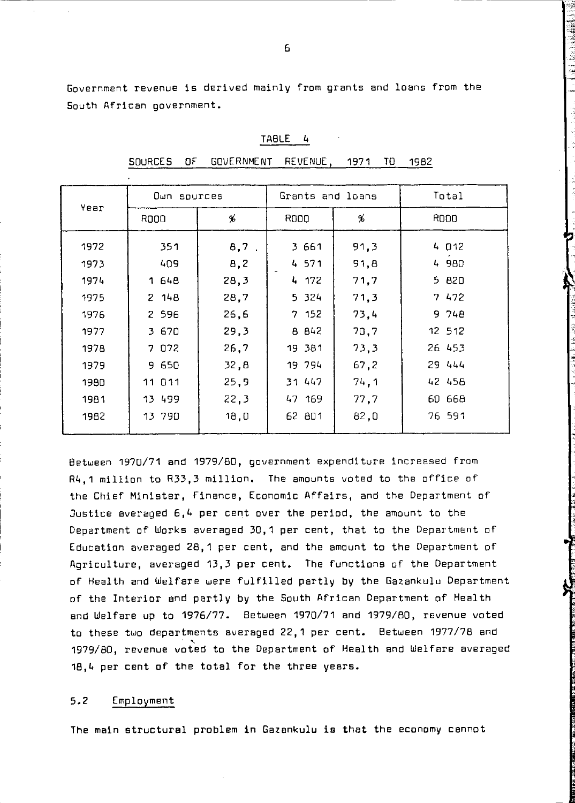Government revenue is derived mainly from grants and loans from the South African government.

| ٠ |  |  |
|---|--|--|
|   |  |  |

SOURCES OF GOVERNMENT REVENUE, 1971 TO 1982

| Year | Dwn sources |         | Grants and loans |      | Total   |
|------|-------------|---------|------------------|------|---------|
|      | R000        | %       | R000             | %    | R000    |
| 1972 | 351         | $8,7$ . | 3 661            | 91.3 | 4 0 12  |
| 1973 | 409         | 8,2     | 4 571            | 91,8 | 4 980   |
| 1974 | 1 648       | 28,3    | 4 172            | 71,7 | 5 820   |
| 1975 | 2, 148      | 28.7    | 5 324            | 71,3 | 7 472   |
| 1976 | 2 5 9 6     | 26,6    | 7 152            | 73.4 | 9 748   |
| 1977 | 3 670       | 29,3    | 8 842            | 70.7 | 12 5 12 |
| 1978 | 7 072       | 26.7    | 19 381           | 73,3 | 26 453  |
| 1979 | 9 650       | 32,8    | 19 794           | 67.2 | 29 444  |
| 1980 | 11 0 11     | 25.9    | 31 447           | 74.1 | 42 458  |
| 1981 | 13 499      | 22,3    | 47 169           | 77.7 | 60 668  |
| 1982 | 13 790      | 18,0    | 62 801           | 82,0 | 76 591  |
|      |             |         |                  |      |         |

8etween 1970/71 and 1979/80, government expenditure increased from R4,1 million to R33,3 million. The amounts voted to the office of the Chief Minister, Finance, Economic Affairs, and the Department of Justice averaged  $6.4$  per cent over the period, the amount to the Department of Works averaged 30,1 per cent, that to the Department of Education averaged 28,1 per cent, and the amount to the Department of Agriculture, averaged 13,3 per cent. The functions of the Department of Health and Welfare were fulfilled partly by the Gazankulu Department of the Interior and partly by the South African Department of Health and Welfare up to 1976/77. 8etween 1970/71 and 1979/80, revenue voted to these two departments averaged 22,1 per cent. Between 1977/78 and 1979/80, revenue voted to the Department of Health and Welfare averaged 18,4 per cent of the total for the three years.

### 5.2 Employment

The main structural problem in Gazankulu is that the economy cannot

6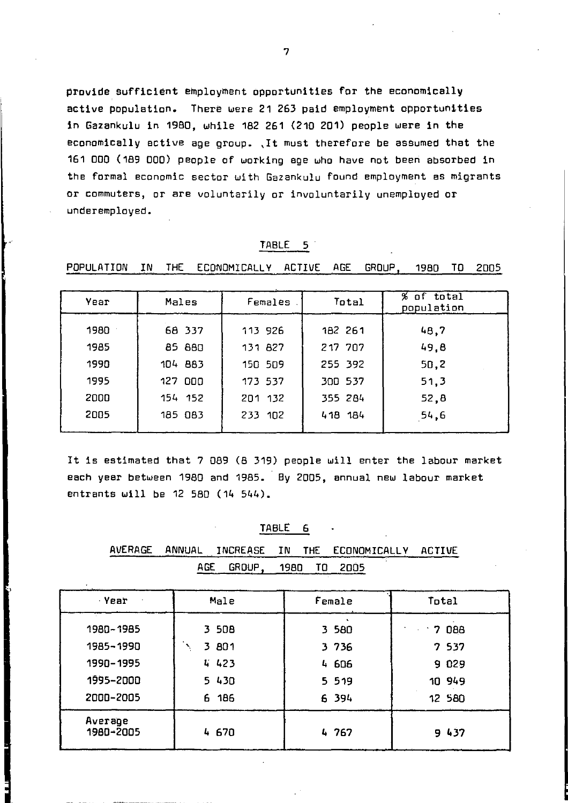provide sufficient employment opportunities for the economically active population. There were 21 263 paid employment opportunities in Gazankulu in 1980, while 182 261 (210 201) people were in the economically active age group. ,It must therefore be assumed that the 161 000 (189 000) people of working age who have not been absorbed in the formal economic sector with Gazankulu found employment as migrants or commuters, or are voluntarily or involuntarily unemployed or underemployed.

| Year | Males   | Females | Total   | $%$ of total<br>population |
|------|---------|---------|---------|----------------------------|
| 1980 | 68 337  | 113 926 | 182 261 | 48.7                       |
| 1985 | 85 880  | 131 827 | 217 707 | 49.8                       |
| 1990 | 104 883 | 150 509 | 255 392 | 50.2                       |
| 1995 | 127 000 | 173 537 | 300 537 | 51,3                       |
| 2000 | 154 152 | 201 132 | 355 284 | 52,8                       |
| 2005 | 185 083 | 233 102 | 418 184 | 54.6                       |

TABLE 5 POPULATION IN THE ECONOMICALLY ACTIVE AGE GROUP, 1980 TO 2005

It is estimated that 7 089 (8 319) people will enter the labour market each year between 1980 and 1985. By 2005, annual new labour market entrants will be 12 580 (14 544).

### TABLE 6

| AVERAGE |     |        |      |      | ANNUAL INCREASE IN THE ECONOMICALLY ACTIVE |       |
|---------|-----|--------|------|------|--------------------------------------------|-------|
|         | AGE | GROUP. | 1980 | - 70 | 2005                                       |       |
| Year    |     | Male   |      |      | Female                                     | Total |
|         |     |        |      |      |                                            |       |

| 1980~1985            | 3 508 | 3 580   | 088<br>$-7$ |
|----------------------|-------|---------|-------------|
| 1985~1990            | 3 801 | 3 736   | 7 537       |
| 1990-1995            | 4423  | 4 606   | 9 029       |
| 1995-2000            | 5 430 | 5 5 1 9 | 10 949      |
| 2000–2005            | 6 186 | 6 394   | 12 580      |
| Average<br>1980~2005 | 4 670 | 4 767   | 9 437       |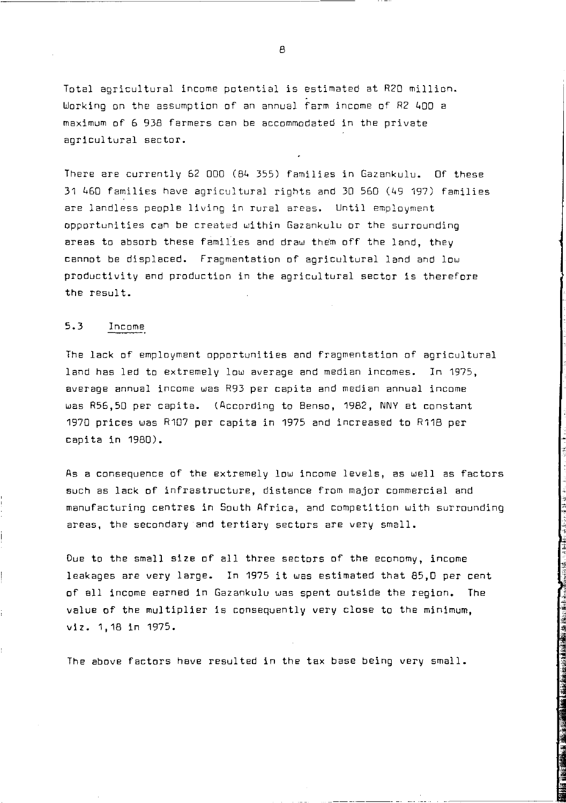Total agricultural income potential is estimated at R20 million. Working on the assumption of an annual farm income of R2 400 a maximum of 6 938 farmers can be accommodated in the private agricultural sector.

There are currently 52 000 (84 355) families in Gazankulu. Of these 31 460 families have agricultural rights and 30 560 (49 197) families are landless people living in rural areas. Until employment opportunities can be created within Gazankulu or the surrounding areas to absorb these families and draw them off the land, they cannot be displaced. Fragmentation of agricultural land and low productivity and production in the agricultural sector is therefore the result.

### 5.3 Income

The lack of employment opportunities and fragmentation of agricultural land has led to extremely low average and median incomes. In 1975, average annual income was R93 per capita and median annual income was R56,50 per capita. (According to Benso, 1982, NNY at constant 1970 prices was R107 per capita in 1975 and increased to R118 per capita in 1980).

As a consequence of the extremely low income levels, as well as factors such as lack of infrastructure, distance from major commercial and manufacturing centres in South Africa, and competition with surrounding areas, the secondary and tertiary sectors are very small.

Due to the small size of all three sectors of the economy, income leakages are very large. In 1975 it was estimated that 85,0 per cent of all income earned in Gazankulu was spent outside the region. The value of the multiplier is consequently very close to the minimum, viz. 1,18 in 1975.

The above factors have resulted in the tax base being very small.

**A**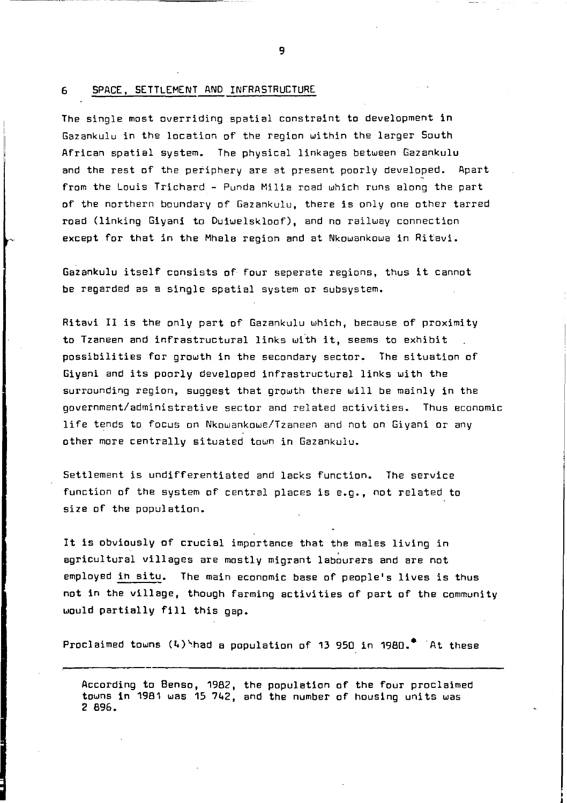#### 6 SPACE, SETTLEMENT AND INFRASTRUCTURE

The single most overriding spatial constraint to development in Gazankulu in the location of the region within the larger South African spatial system. The physical linkages between Gazankulu and the rest of the periphery are at present poorly developed. Apart from the Louis Trichard - Punda Milia road which runs along the part of the northern boundary of Gazankulu, there is only one other tarred road (linking Giyani to Duiwelskloof), and no railway connection except for that in the Mhala region and at Nkowankowa in Ritavi.

Gazankulu itself consists of four seperate regions, thus it cannot be regarded as a single spatial system or subsystem.

Ritavi II is the only part of Gazankulu which, because of proximity to Tzaneen and infrastructural links with it, seems to exhibit possibilities for growth in the secondary sector. The situation of Giyani and its poorly developed infrastructural links with the surrounding region, suggest that growth there will be mainly in the government/administrative sector and related activities. Thus economic life tends to focus on Nkowankowe/Tzaneen and not on Giyani or any other more centrally situated town in Gazankulu.

Settlement is undifferentiated and lacks function. The service function of the system of central places is e.g., not related to size of the population.

It is obviously of crucial importance that the males living in agricultural villages are mostly migrant labourers and are not employed in situ. The main economic base of people's lives is thus not in the village, though farming activities of part of the community would partially fill this gap.

Proclaimed towns  $(4)$  had a population of 13 950 in 1980.<sup>\*</sup> At these

According to Benso, 1982, the population of the four proclaimed towns 1n 1981 was 15 742, and the number of housing units was 2 896.

9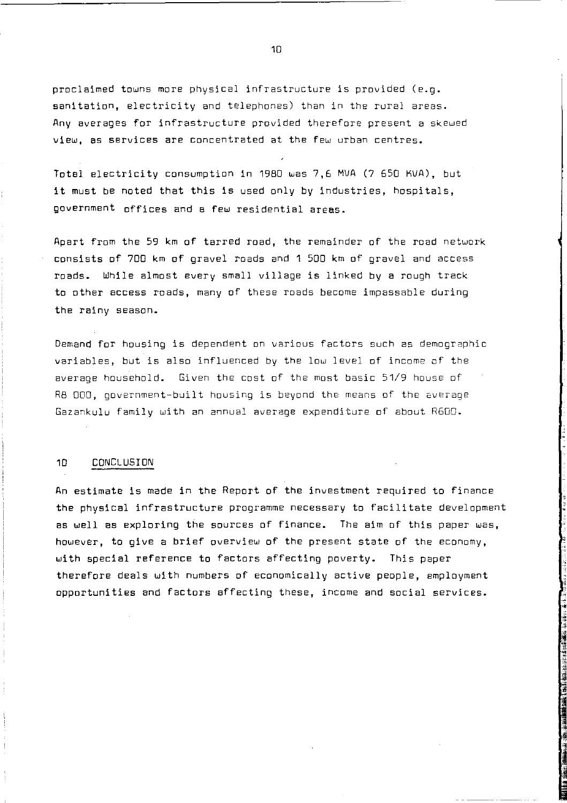proclaimed towns more physical infrastructure is provided (e.g. sanitation, electricity and telephones) than in the rural areas. Any averages for infrastructure provided therefore present a skewed view, as services are concentrated at the few urban centres.

Totel electricity consumption in 1980 was 7.6 MVA (7 650 KVA), but it must be noted that this is used only by industries, hospitals, government offices and a few residential areas.

Apart from the 59 km of tarred road, the remainder of the road network consists of 700 km of gravel roads and 1 500 km of gravel and access roads. While almost every small village is linked by a rough track to other access roads, many of these roads become impassable during the rainy season.

Demand for housing is dependent on various factors such as demographic variables, but is also influenced by the low level of income of the average household. Given the cost of the most basic 51/9 house of R8 000, government-built housing is beyond the means of the average Gazankulu family with an annual average expenditure of about R600.

#### 10 CONCLUSION

An estimate is made in the Report of the investment required to finance the physical infrastructure programme necessary to facilitate development as well as exploring the sources of finance. The aim of this paper was, however, to give a brief overview of the present state of the economy, with special reference to factors affecting poverty. This paper therefore deals with numbers of economically active people, employment opportunities and factors affecting these, income and social services.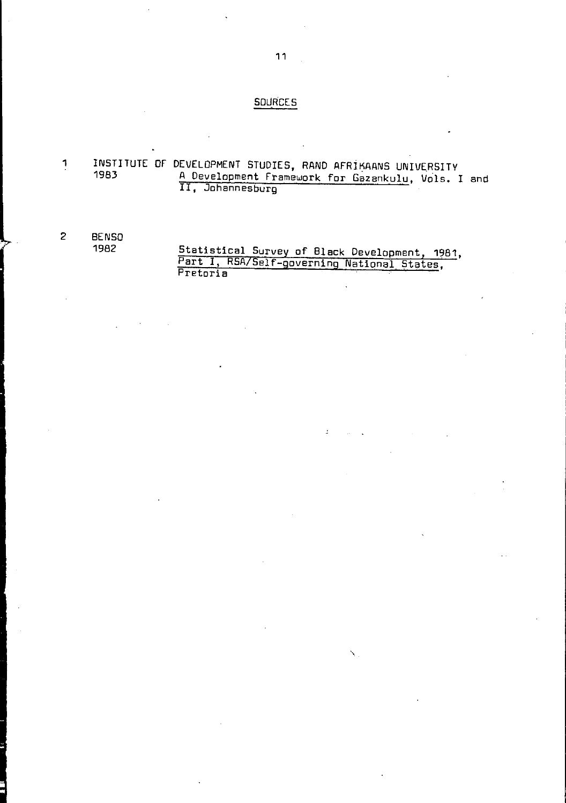### **SOURCES**

1 INSTITUTE OF DEVELOPMENT STUDIES, RAND AFRIKAANS UNIVE.RSITY 1983 A Development Framework for Gazankulu, Vols. I and II, Johannesburg

# 2 BENSO 1982 Statistical Survey of Black Development, 1981, Part I, RSA/Self -governing National States, Pretoria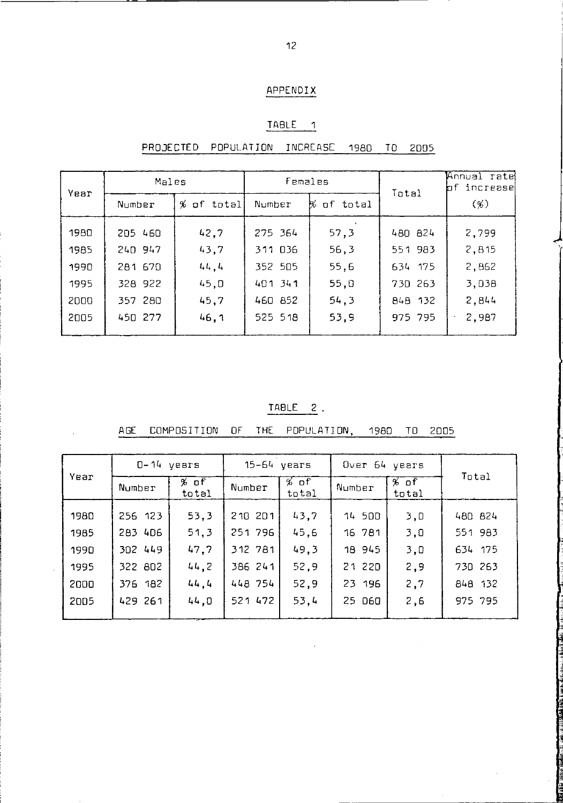# APPENDIX

## TABLE<sub>1</sub>

# PROJECTED POPULATION INCREASE 1980 TO 2005

| Year | Males   |            | Females |            | Total   | Annual rate<br>bf increase |
|------|---------|------------|---------|------------|---------|----------------------------|
|      | Number  | % of total | Number  | % of total |         | (%)                        |
| 1980 | 205 460 | 42,7       | 275 364 | 57,3       | 480 824 | 2,799                      |
| 1985 | 240 947 | 43.7       | 311 036 | 56,3       | 551 983 | 2,815                      |
| 1990 | 281 670 | 44.4       | 352 505 | 55,6       | 634 175 | 2,862                      |
| 1995 | 328 922 | 45.0       | 401 341 | 55.0       | 730 263 | 3.038                      |
| 2000 | 357 280 | 45,7       | 460 852 | 54.3       | 848 132 | 2,844                      |
| 2005 | 450 277 | 46.1       | 525 518 | 53.9       | 975 795 | 2,987<br>$\blacksquare$    |

# TABLE 2.

|      |         | $0 - 14$ years |         | $15-64$ years |        | Over 64 years |         |
|------|---------|----------------|---------|---------------|--------|---------------|---------|
| Year | Number  | % of<br>total  | Number  | % of<br>total | Number | % of<br>total | Total   |
| 1980 | 256 123 | 53,3           | 210 201 | 43.7          | 14 500 | 3,0           | 480 824 |
| 1985 | 283 406 | 51,3           | 251 796 | 45.6          | 16 781 | 3.0           | 551 983 |
| 1990 | 302 449 | 47.7           | 312 781 | 49,3          | 18 945 | 3,0           | 634 175 |
| 1995 | 322 802 | 44.2           | 386 241 | 52.9          | 21 220 | 2,9           | 730 263 |
| 2000 | 376 182 | 44.4           | 448 754 | 52,9          | 23 196 | 2,7           | 848 132 |
| 2005 | 429 261 | 44.0           | 521 472 | 53.4          | 25 060 | 2,6           | 975 795 |

AGE COMPOSITION OF THE POPULATION, 1980 TO 2005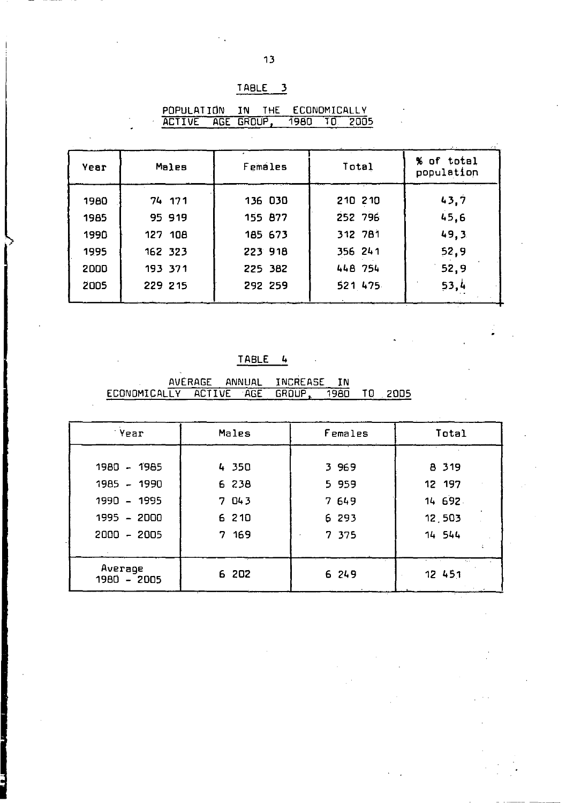| API |  |  |
|-----|--|--|
|     |  |  |

| POPULATION        | <b>IN</b> | THE ECONOMICALLY |  |
|-------------------|-----------|------------------|--|
| ACTIVE AGE GROUP. |           | 1980 TO 2005     |  |

 $\bar{\mathcal{L}}$ 

| Year | Males   | Females        | Total   | % of total<br>population |
|------|---------|----------------|---------|--------------------------|
| 1980 | 74 171  | 136 030        | 210 210 | 43.7                     |
| 1985 | 95 919  | <b>155 B77</b> | 252 796 | 45.6                     |
| 1990 | 127 108 | 185 673        | 312 781 | 49.3                     |
| 1995 | 162 323 | 223 918        | 356 241 | 52.9                     |
| 2000 | 193 371 | 225 382        | 448 754 | 52.9                     |
| 2005 | 229 215 | 292 259        | 521 475 | 53,4                     |
|      |         |                |         |                          |

# TABLE 4

AVERAGE ANNUAL INCREASE IN<br>ECONOMICALLY ACTIVE AGE GROUP, 1980 TO 2005

| 'Year                                                                       | Males                                      | Females                                   | Total                                           |
|-----------------------------------------------------------------------------|--------------------------------------------|-------------------------------------------|-------------------------------------------------|
| 1980 - 1985<br>1985 - 1990<br>1990 - 1995<br>$1995 - 2000$<br>$2000 - 2005$ | 4350<br>6 238<br>7 043<br>6 2 1 0<br>7 169 | 3 969<br>5 959<br>7 649<br>6 293<br>7 375 | 8 3 1 9<br>12 197<br>14 692<br>12.503<br>14 544 |
| Average<br>1980 - 2005                                                      | 6 202                                      | 6 24 9                                    | 5.4<br>12 451                                   |